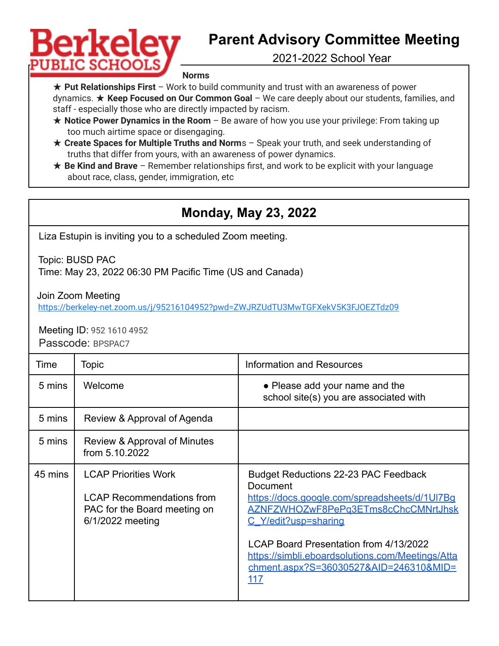## Berkelev **PUBLIC SCHOC**

## **Parent Advisory Committee Meeting**

2021-2022 School Year

**Norms**

★ **Put Relationships First** – Work to build community and trust with an awareness of power dynamics. ★ **Keep Focused on Our Common Goal** – We care deeply about our students, families, and staff - especially those who are directly impacted by racism.

- ★ **Notice Power Dynamics in the Room** Be aware of how you use your privilege: From taking up too much airtime space or disengaging.
- ★ **Create Spaces for Multiple Truths and Norm**s Speak your truth, and seek understanding of truths that differ from yours, with an awareness of power dynamics.
- ★ **Be Kind and Brave** Remember relationships first, and work to be explicit with your language about race, class, gender, immigration, etc

## **Monday, May 23, 2022**

Liza Estupin is inviting you to a scheduled Zoom meeting.

Topic: BUSD PAC

Time: May 23, 2022 06:30 PM Pacific Time (US and Canada)

Join Zoom Meeting

<https://berkeley-net.zoom.us/j/95216104952?pwd=ZWJRZUdTU3MwTGFXekV5K3FJOEZTdz09>

Meeting ID: 952 1610 4952 Passcode: BPSPAC7

| Time    | Topic                                                                                                               | <b>Information and Resources</b>                                                                                                                                                                                                                                                                                       |
|---------|---------------------------------------------------------------------------------------------------------------------|------------------------------------------------------------------------------------------------------------------------------------------------------------------------------------------------------------------------------------------------------------------------------------------------------------------------|
| 5 mins  | Welcome                                                                                                             | • Please add your name and the<br>school site(s) you are associated with                                                                                                                                                                                                                                               |
| 5 mins  | Review & Approval of Agenda                                                                                         |                                                                                                                                                                                                                                                                                                                        |
| 5 mins  | Review & Approval of Minutes<br>from 5.10.2022                                                                      |                                                                                                                                                                                                                                                                                                                        |
| 45 mins | <b>LCAP Priorities Work</b><br><b>LCAP Recommendations from</b><br>PAC for the Board meeting on<br>6/1/2022 meeting | <b>Budget Reductions 22-23 PAC Feedback</b><br>Document<br>https://docs.google.com/spreadsheets/d/1UI7Bq<br>AZNFZWHOZwF8PePq3ETms8cChcCMNrtJhsk<br>C Y/edit?usp=sharing<br>LCAP Board Presentation from 4/13/2022<br>https://simbli.eboardsolutions.com/Meetings/Atta<br>chment.aspx?S=36030527&AID=246310&MID=<br>117 |